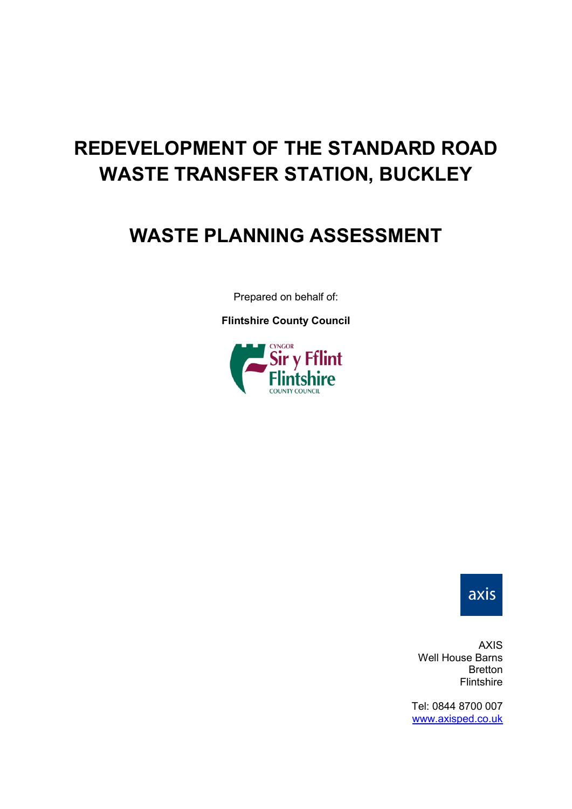# **REDEVELOPMENT OF THE STANDARD ROAD WASTE TRANSFER STATION, BUCKLEY**

# **WASTE PLANNING ASSESSMENT**

Prepared on behalf of:

**Flintshire County Council**





AXIS Well House Barns Bretton Flintshire

Tel: 0844 8700 007 [www.axisped.co.uk](http://www.axisped.co.uk/)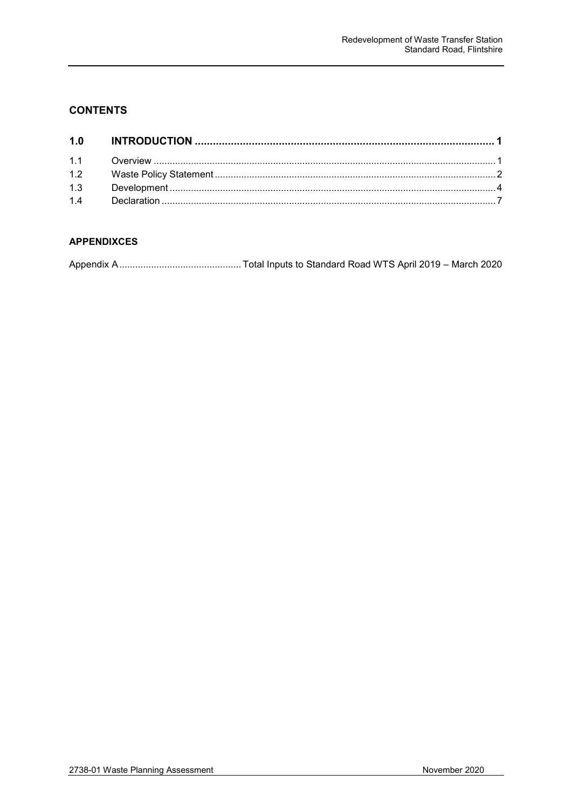# **CONTENTS**

#### **APPENDIXCES**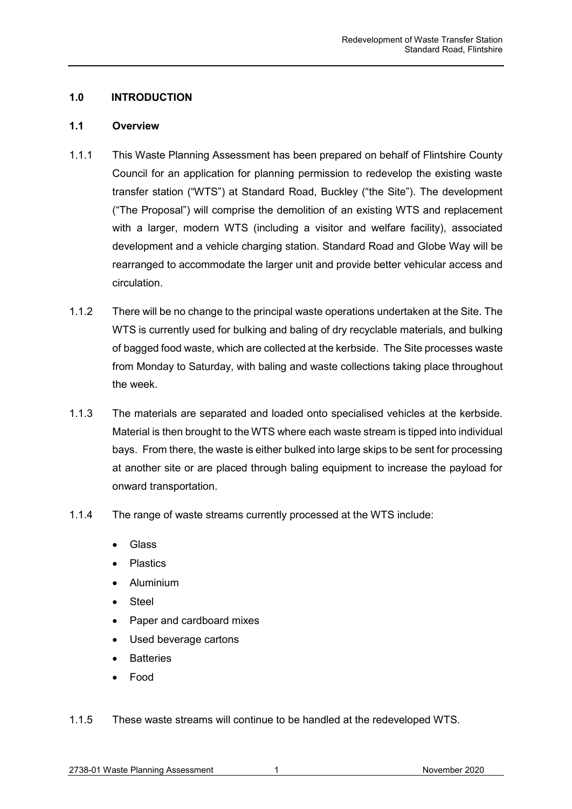#### <span id="page-2-0"></span>**1.0 INTRODUCTION**

#### <span id="page-2-1"></span>**1.1 Overview**

- 1.1.1 This Waste Planning Assessment has been prepared on behalf of Flintshire County Council for an application for planning permission to redevelop the existing waste transfer station ("WTS") at Standard Road, Buckley ("the Site"). The development ("The Proposal") will comprise the demolition of an existing WTS and replacement with a larger, modern WTS (including a visitor and welfare facility), associated development and a vehicle charging station. Standard Road and Globe Way will be rearranged to accommodate the larger unit and provide better vehicular access and circulation.
- 1.1.2 There will be no change to the principal waste operations undertaken at the Site. The WTS is currently used for bulking and baling of dry recyclable materials, and bulking of bagged food waste, which are collected at the kerbside. The Site processes waste from Monday to Saturday, with baling and waste collections taking place throughout the week.
- 1.1.3 The materials are separated and loaded onto specialised vehicles at the kerbside. Material is then brought to the WTS where each waste stream is tipped into individual bays. From there, the waste is either bulked into large skips to be sent for processing at another site or are placed through baling equipment to increase the payload for onward transportation.
- 1.1.4 The range of waste streams currently processed at the WTS include:
	- **Glass**
	- **Plastics**
	- Aluminium
	- Steel
	- Paper and cardboard mixes
	- Used beverage cartons
	- **Batteries**
	- Food
- 1.1.5 These waste streams will continue to be handled at the redeveloped WTS.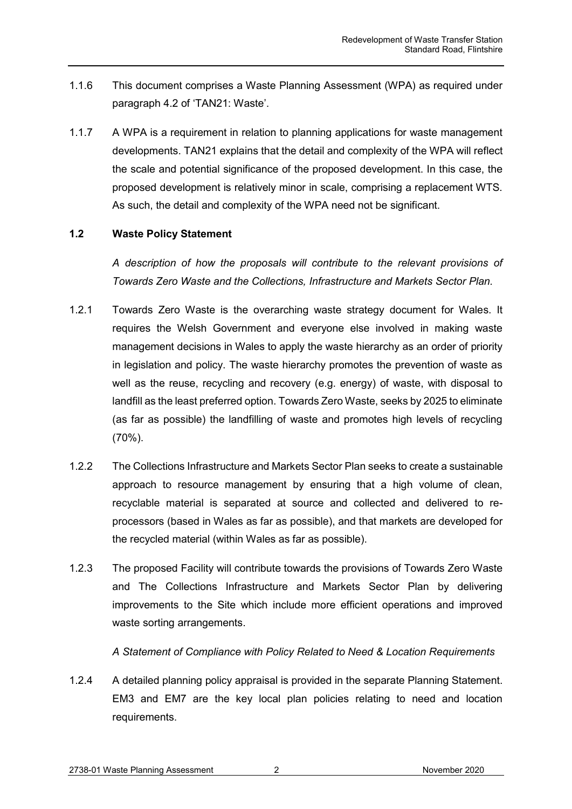- 1.1.6 This document comprises a Waste Planning Assessment (WPA) as required under paragraph 4.2 of 'TAN21: Waste'.
- 1.1.7 A WPA is a requirement in relation to planning applications for waste management developments. TAN21 explains that the detail and complexity of the WPA will reflect the scale and potential significance of the proposed development. In this case, the proposed development is relatively minor in scale, comprising a replacement WTS. As such, the detail and complexity of the WPA need not be significant.

# **1.2 Waste Policy Statement**

<span id="page-3-0"></span>*A description of how the proposals will contribute to the relevant provisions of Towards Zero Waste and the Collections, Infrastructure and Markets Sector Plan.* 

- 1.2.1 Towards Zero Waste is the overarching waste strategy document for Wales. It requires the Welsh Government and everyone else involved in making waste management decisions in Wales to apply the waste hierarchy as an order of priority in legislation and policy. The waste hierarchy promotes the prevention of waste as well as the reuse, recycling and recovery (e.g. energy) of waste, with disposal to landfill as the least preferred option. Towards Zero Waste, seeks by 2025 to eliminate (as far as possible) the landfilling of waste and promotes high levels of recycling (70%).
- 1.2.2 The Collections Infrastructure and Markets Sector Plan seeks to create a sustainable approach to resource management by ensuring that a high volume of clean, recyclable material is separated at source and collected and delivered to reprocessors (based in Wales as far as possible), and that markets are developed for the recycled material (within Wales as far as possible).
- 1.2.3 The proposed Facility will contribute towards the provisions of Towards Zero Waste and The Collections Infrastructure and Markets Sector Plan by delivering improvements to the Site which include more efficient operations and improved waste sorting arrangements.

#### *A Statement of Compliance with Policy Related to Need & Location Requirements*

1.2.4 A detailed planning policy appraisal is provided in the separate Planning Statement. EM3 and EM7 are the key local plan policies relating to need and location requirements.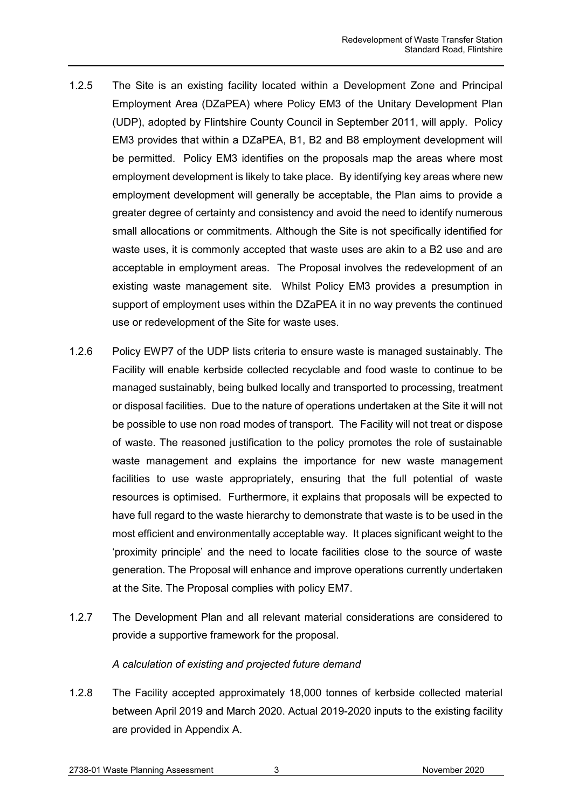- 1.2.5 The Site is an existing facility located within a Development Zone and Principal Employment Area (DZaPEA) where Policy EM3 of the Unitary Development Plan (UDP), adopted by Flintshire County Council in September 2011, will apply. Policy EM3 provides that within a DZaPEA, B1, B2 and B8 employment development will be permitted. Policy EM3 identifies on the proposals map the areas where most employment development is likely to take place. By identifying key areas where new employment development will generally be acceptable, the Plan aims to provide a greater degree of certainty and consistency and avoid the need to identify numerous small allocations or commitments. Although the Site is not specifically identified for waste uses, it is commonly accepted that waste uses are akin to a B2 use and are acceptable in employment areas. The Proposal involves the redevelopment of an existing waste management site. Whilst Policy EM3 provides a presumption in support of employment uses within the DZaPEA it in no way prevents the continued use or redevelopment of the Site for waste uses.
- 1.2.6 Policy EWP7 of the UDP lists criteria to ensure waste is managed sustainably. The Facility will enable kerbside collected recyclable and food waste to continue to be managed sustainably, being bulked locally and transported to processing, treatment or disposal facilities. Due to the nature of operations undertaken at the Site it will not be possible to use non road modes of transport. The Facility will not treat or dispose of waste. The reasoned justification to the policy promotes the role of sustainable waste management and explains the importance for new waste management facilities to use waste appropriately, ensuring that the full potential of waste resources is optimised. Furthermore, it explains that proposals will be expected to have full regard to the waste hierarchy to demonstrate that waste is to be used in the most efficient and environmentally acceptable way. It places significant weight to the 'proximity principle' and the need to locate facilities close to the source of waste generation. The Proposal will enhance and improve operations currently undertaken at the Site. The Proposal complies with policy EM7.
- 1.2.7 The Development Plan and all relevant material considerations are considered to provide a supportive framework for the proposal.

# *A calculation of existing and projected future demand*

1.2.8 The Facility accepted approximately 18,000 tonnes of kerbside collected material between April 2019 and March 2020. Actual 2019-2020 inputs to the existing facility are provided in Appendix A.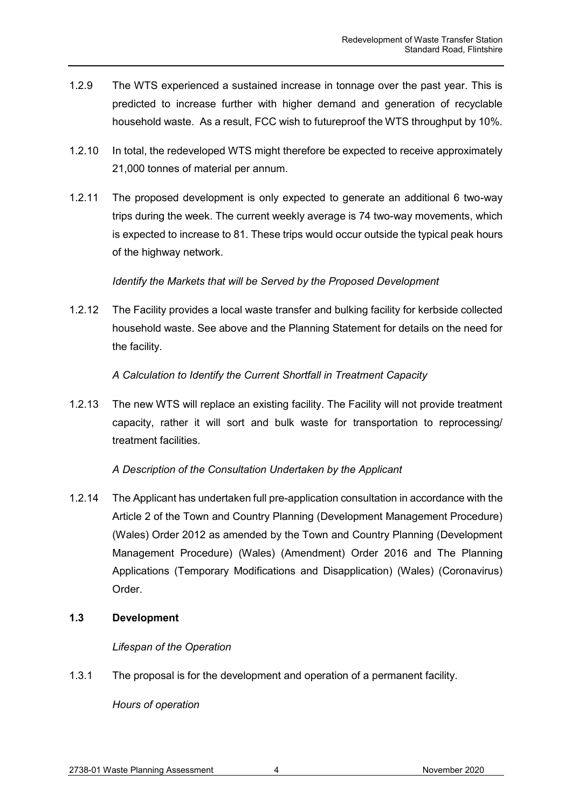- 1.2.9 The WTS experienced a sustained increase in tonnage over the past year. This is predicted to increase further with higher demand and generation of recyclable household waste. As a result, FCC wish to futureproof the WTS throughput by 10%.
- 1.2.10 In total, the redeveloped WTS might therefore be expected to receive approximately 21,000 tonnes of material per annum.
- 1.2.11 The proposed development is only expected to generate an additional 6 two-way trips during the week. The current weekly average is 74 two-way movements, which is expected to increase to 81. These trips would occur outside the typical peak hours of the highway network.

# *Identify the Markets that will be Served by the Proposed Development*

1.2.12 The Facility provides a local waste transfer and bulking facility for kerbside collected household waste. See above and the Planning Statement for details on the need for the facility.

#### *A Calculation to Identify the Current Shortfall in Treatment Capacity*

1.2.13 The new WTS will replace an existing facility. The Facility will not provide treatment capacity, rather it will sort and bulk waste for transportation to reprocessing/ treatment facilities.

# *A Description of the Consultation Undertaken by the Applicant*

1.2.14 The Applicant has undertaken full pre-application consultation in accordance with the Article 2 of the Town and Country Planning (Development Management Procedure) (Wales) Order 2012 as amended by the Town and Country Planning (Development Management Procedure) (Wales) (Amendment) Order 2016 and The Planning Applications (Temporary Modifications and Disapplication) (Wales) (Coronavirus) Order.

# <span id="page-5-0"></span>**1.3 Development**

# *Lifespan of the Operation*

1.3.1 The proposal is for the development and operation of a permanent facility.

*Hours of operation*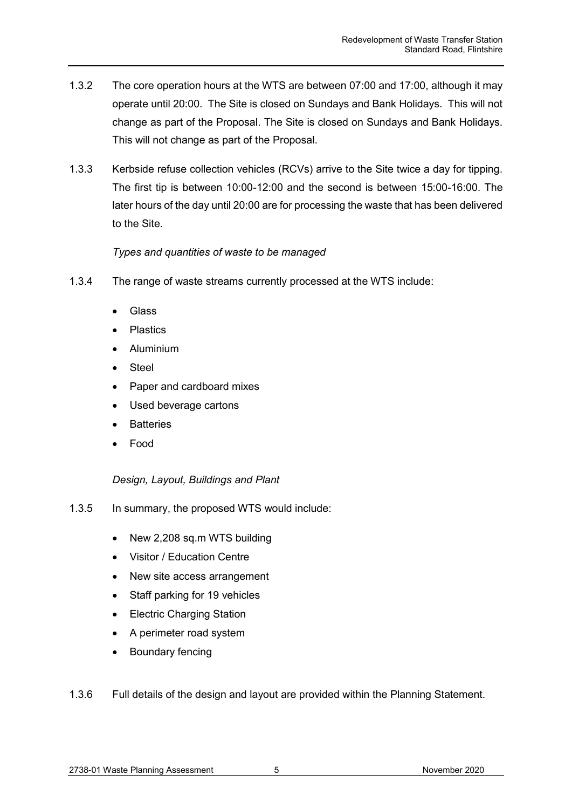- 1.3.2 The core operation hours at the WTS are between 07:00 and 17:00, although it may operate until 20:00. The Site is closed on Sundays and Bank Holidays. This will not change as part of the Proposal. The Site is closed on Sundays and Bank Holidays. This will not change as part of the Proposal.
- 1.3.3 Kerbside refuse collection vehicles (RCVs) arrive to the Site twice a day for tipping. The first tip is between 10:00-12:00 and the second is between 15:00-16:00. The later hours of the day until 20:00 are for processing the waste that has been delivered to the Site.

#### *Types and quantities of waste to be managed*

- 1.3.4 The range of waste streams currently processed at the WTS include:
	- Glass
	- Plastics
	- Aluminium
	- **Steel**
	- Paper and cardboard mixes
	- Used beverage cartons
	- **Batteries**
	- Food

# *Design, Layout, Buildings and Plant*

- 1.3.5 In summary, the proposed WTS would include:
	- New 2,208 sq.m WTS building
	- Visitor / Education Centre
	- New site access arrangement
	- Staff parking for 19 vehicles
	- Electric Charging Station
	- A perimeter road system
	- Boundary fencing

1.3.6 Full details of the design and layout are provided within the Planning Statement.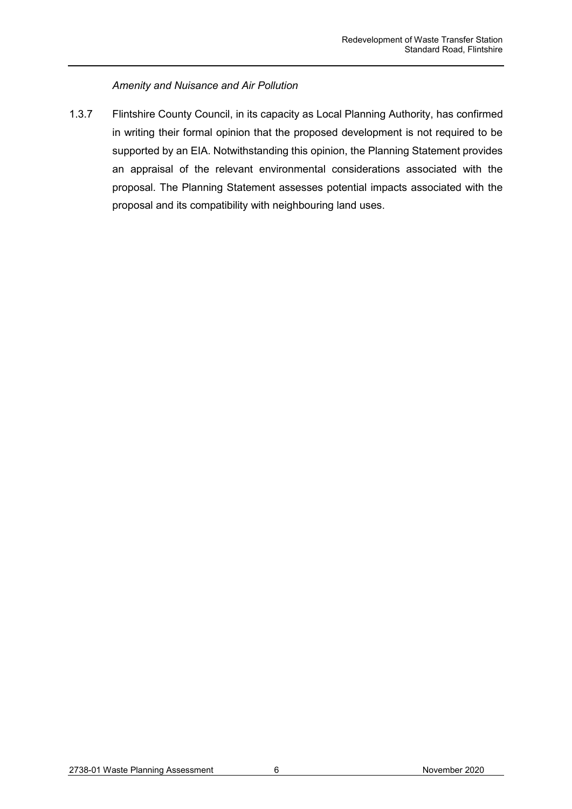#### *Amenity and Nuisance and Air Pollution*

1.3.7 Flintshire County Council, in its capacity as Local Planning Authority, has confirmed in writing their formal opinion that the proposed development is not required to be supported by an EIA. Notwithstanding this opinion, the Planning Statement provides an appraisal of the relevant environmental considerations associated with the proposal. The Planning Statement assesses potential impacts associated with the proposal and its compatibility with neighbouring land uses.